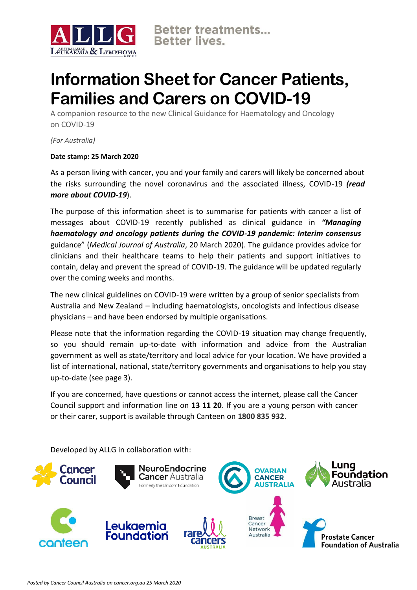

## **Information Sheet for Cancer Patients, Families and Carers on COVID-19**

A companion resource to the new Clinical Guidance for Haematology and Oncology on COVID-19

*(For Australia)*

## **Date stamp: 25 March 2020**

As a person living with cancer, you and your family and carers will likely be concerned about the risks surrounding the novel coronavirus and the associated illness, COVID-19 *[\(read](https://www.health.gov.au/resources/collections/novel-coronavirus-2019-ncov-resources)  [more](https://www.health.gov.au/resources/collections/novel-coronavirus-2019-ncov-resources) [about COVID-19](https://www.health.gov.au/resources/collections/novel-coronavirus-2019-ncov-resources)*).

The purpose of this information sheet is to summarise for patients with cancer a list of messages about COVID-19 recently published as clinical guidance in *["Managing](https://www.mja.com.au/journal/2020/212/10/managing-haematology-and-oncology-patients-during-covid-19-pandemic-interim?utm_source=carousel&utm_medium=web&utm_campaign=homepage) [haematology and oncology patients during the COVID-19 pandemic: Interim consensus](https://www.mja.com.au/journal/2020/212/10/managing-haematology-and-oncology-patients-during-covid-19-pandemic-interim?utm_source=carousel&utm_medium=web&utm_campaign=homepage)* [guidance"](https://www.mja.com.au/journal/2020/212/10/managing-haematology-and-oncology-patients-during-covid-19-pandemic-interim?utm_source=carousel&utm_medium=web&utm_campaign=homepage) (*Medical Journal of Australia*, 20 March 2020). The guidance provides advice for clinicians and their healthcare teams to help their patients and support initiatives to contain, delay and prevent the spread of COVID-19. The guidance will be updated regularly over the coming weeks and months.

The new clinical guidelines on COVID-19 were written by a group of senior specialists from Australia and New Zealand – including haematologists, oncologists and infectious disease physicians – and have been endorsed by multiple organisations.

Please note that the information regarding the COVID-19 situation may change frequently, so you should remain up-to-date with information and advice from the Australian government as well as state/territory and local advice for your location. We have provided a list of international, national, state/territory governments and organisations to help you stay up-to-date (see page 3).

If you are concerned, have questions or cannot access the internet, please call the Cancer Council support and information line on **13 11 20**. If you are a young person with cancer or their carer, support is available through Canteen on **1800 835 932**.

Developed by ALLG in collaboration with:

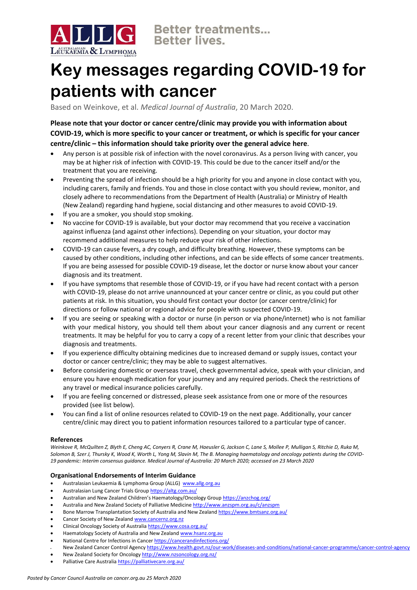

# **Key messages regarding COVID-19 for patients with cancer**

Based on Weinkove, et al. *Medical Journal of Australia*, 20 March 2020.

**Please note that your doctor or cancer centre/clinic may provide you with information about COVID-19, which is more specific to your cancer or treatment, or which is specific for your cancer centre/clinic – this information should take priority over the general advice here**.

- Any person is at possible risk of infection with the novel coronavirus. As a person living with cancer, you may be at higher risk of infection with COVID-19. This could be due to the cancer itself and/or the treatment that you are receiving.
- Preventing the spread of infection should be a high priority for you and anyone in close contact with you, including carers, family and friends. You and those in close contact with you should review, monitor, and closely adhere to recommendations from the Department of Health (Australia) or Ministry of Health (New Zealand) regarding hand hygiene, social distancing and other measures to avoid COVID-19.
- If you are a smoker, you should stop smoking.
- No vaccine for COVID-19 is available, but your doctor may recommend that you receive a vaccination against influenza (and against other infections). Depending on your situation, your doctor may recommend additional measures to help reduce your risk of other infections.
- COVID-19 can cause fevers, a dry cough, and difficulty breathing. However, these symptoms can be caused by other conditions, including other infections, and can be side effects of some cancer treatments. If you are being assessed for possible COVID-19 disease, let the doctor or nurse know about your cancer diagnosis and its treatment.
- If you have symptoms that resemble those of COVID-19, or if you have had recent contact with a person with COVID-19, please do not arrive unannounced at your cancer centre or clinic, as you could put other patients at risk. In this situation, you should first contact your doctor (or cancer centre/clinic) for directions or follow national or regional advice for people with suspected COVID-19.
- If you are seeing or speaking with a doctor or nurse (in person or via phone/internet) who is not familiar with your medical history, you should tell them about your cancer diagnosis and any current or recent treatments. It may be helpful for you to carry a copy of a recent letter from your clinic that describes your diagnosis and treatments.
- If you experience difficulty obtaining medicines due to increased demand or supply issues, contact your doctor or cancer centre/clinic; they may be able to suggest alternatives.
- Before considering domestic or overseas travel, check governmental advice, speak with your clinician, and ensure you have enough medication for your journey and any required periods. Check the restrictions of any travel or medical insurance policies carefully.
- If you are feeling concerned or distressed, please seek assistance from one or more of the resources provided (see list below).
- You can find a list of online resources related to COVID-19 on the next page. Additionally, your cancer centre/clinic may direct you to patient information resources tailored to a particular type of cancer.

### **References**

*Weinkove R, McQuilten Z, Blyth E, Cheng AC, Conyers R, Crane M, Haeusler G, Jackson C, Lane S, Mollee P, Mulligan S, Ritchie D, Ruka M,*  Solomon B, Szer J, Thursky K, Wood K, Worth L, Yong M, Slavin M, The B. Managing haematology and oncology patients during the COVID-*19 pandemic: Interim consensus guidance. Medical Journal of Australia: 20 March 2020; accessed on 23 March 2020*

### **Organisational Endorsements of Interim Guidance**

- Australasian Leukaemia & Lymphoma Group (ALLG) [www.allg.org.au](http://www.allg.org.au/)
- Australasian Lung Cancer Trials Grou[p https://altg.com.au/](https://altg.com.au/)
- Australian and New Zealand Children's Haematology/Oncology Group <https://anzchog.org/>
- Australia and New Zealand Society of Palliative Medicin[e http://www.anzspm.org.au/c/anzspm](http://www.anzspm.org.au/c/anzspm)
- Bone Marrow Transplantation Society of Australia and New Zealan[d https://www.bmtsanz.org.au/](https://www.bmtsanz.org.au/)
- Cancer Society of New Zealan[d www.cancernz.org.nz](http://www.cancernz.org.nz/)
- Clinical Oncology Society of Australia <https://www.cosa.org.au/>
- Haematology Society of Australia and New Zealan[d www.hsanz.org.au](http://www.hsanz.org.au/)
- National Centre for Infections in Cance[r https://cancerandinfections.org/](https://cancerandinfections.org/)
- New Zealand Cancer Control Agency <https://www.health.govt.nz/our-work/diseases-and-conditions/national-cancer-programme/cancer-control-agency> • New Zealand Society for Oncolog[y http://www.nzsoncology.org.nz/](http://www.nzsoncology.org.nz/)
- Palliative Care Australia https://palliativecare.org.au/